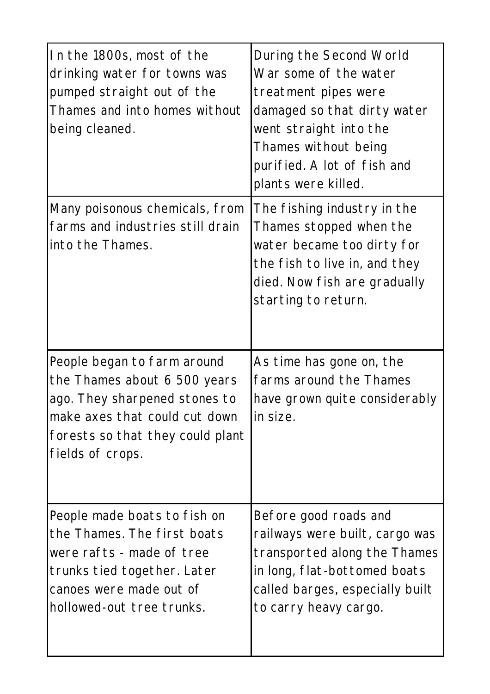| In the 1800s, most of the<br>drinking water for towns was<br>pumped straight out of the<br>Thames and into homes without<br>being cleaned.                                            | During the Second World<br>War some of the water<br>treatment pipes were<br>damaged so that dirty water<br>went straight into the<br>Thames without being<br>purified. A lot of fish and<br>plants were killed. |
|---------------------------------------------------------------------------------------------------------------------------------------------------------------------------------------|-----------------------------------------------------------------------------------------------------------------------------------------------------------------------------------------------------------------|
| Many poisonous chemicals, from<br>farms and industries still drain<br>into the Thames.                                                                                                | The fishing industry in the<br>Thames stopped when the<br>water became too dirty for<br>the fish to live in, and they<br>died. Now fish are gradually<br>starting to return.                                    |
| People began to farm around<br>the Thames about 6 500 years<br>ago. They sharpened stones to<br>make axes that could cut down<br>forests so that they could plant<br>fields of crops. | As time has gone on, the<br>farms around the Thames<br>have grown quite considerably<br>in size.                                                                                                                |
| People made boats to fish on<br>the Thames. The first boats<br>were rafts - made of tree<br>trunks tied together. Later<br>canoes were made out of<br>hollowed-out tree trunks.       | Before good roads and<br>railways were built, cargo was<br>transported along the Thames<br>in long, flat-bottomed boats<br>called barges, especially built<br>to carry heavy cargo.                             |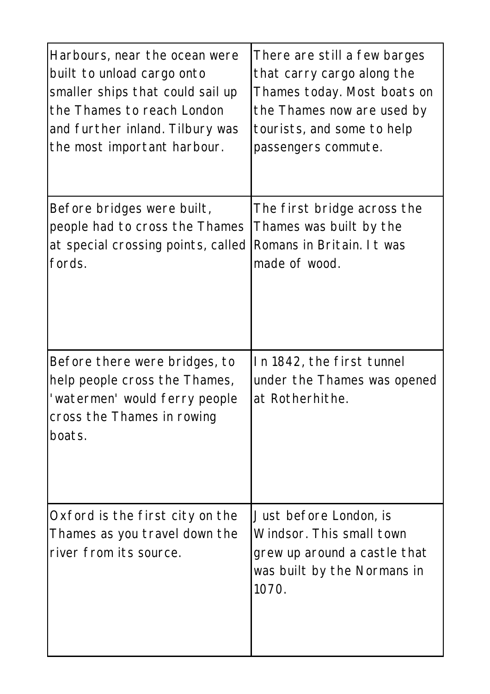| Harbours, near the ocean were                                                                                                           | There are still a few barges                                                                                               |
|-----------------------------------------------------------------------------------------------------------------------------------------|----------------------------------------------------------------------------------------------------------------------------|
| built to unload cargo onto                                                                                                              | that carry cargo along the                                                                                                 |
| smaller ships that could sail up                                                                                                        | Thames today. Most boats on                                                                                                |
| the Thames to reach London                                                                                                              | the Thames now are used by                                                                                                 |
| and further inland. Tilbury was                                                                                                         | tourists, and some to help                                                                                                 |
| the most important harbour.                                                                                                             | passengers commute.                                                                                                        |
| Before bridges were built,                                                                                                              | The first bridge across the                                                                                                |
| people had to cross the Thames                                                                                                          | Thames was built by the                                                                                                    |
| at special crossing points, called                                                                                                      | Romans in Britain. It was                                                                                                  |
| fords.                                                                                                                                  | made of wood.                                                                                                              |
| Before there were bridges, to<br>help people cross the Thames,<br>'watermen' would ferry people<br>cross the Thames in rowing<br>boats. | In 1842, the first tunnel<br>under the Thames was opened<br>at Rotherhithe.                                                |
| Oxford is the first city on the<br>Thames as you travel down the<br>river from its source.                                              | Just before London, is<br>Windsor. This small town<br>grew up around a castle that<br>was built by the Normans in<br>1070. |